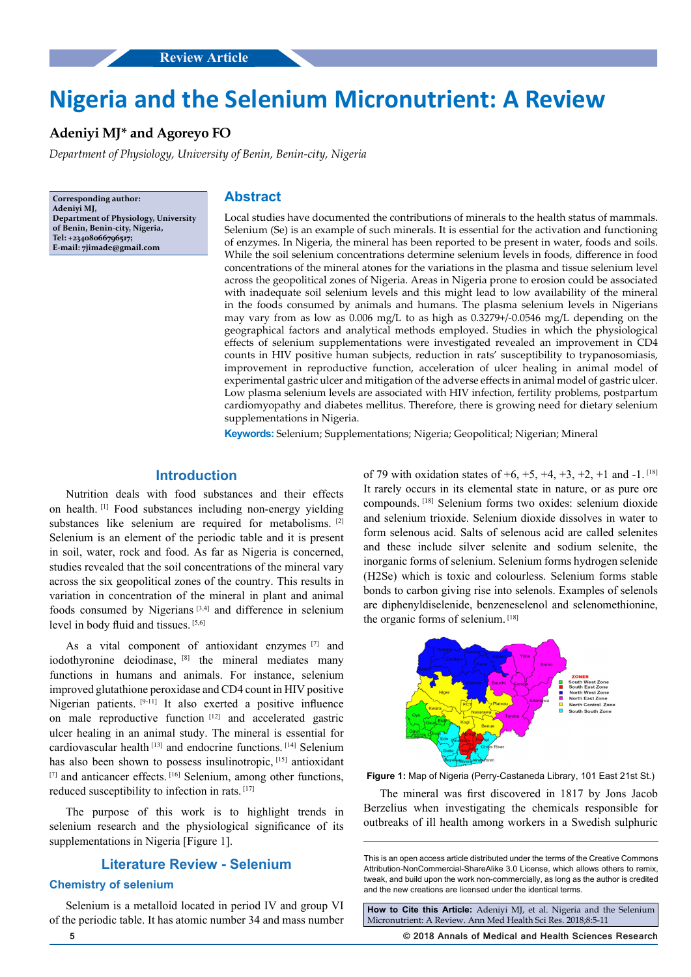# **Nigeria and the Selenium Micronutrient: A Review**

# **Adeniyi MJ\* and Agoreyo FO**

*Department of Physiology, University of Benin, Benin-city, Nigeria*

**Corresponding author: Adeniyi MJ, Department of Physiology, University of Benin, Benin-city, Nigeria, Tel: +23408066796517; E-mail: 7jimade@gmail.com**

# **Abstract**

Local studies have documented the contributions of minerals to the health status of mammals. Selenium (Se) is an example of such minerals. It is essential for the activation and functioning of enzymes. In Nigeria, the mineral has been reported to be present in water, foods and soils. While the soil selenium concentrations determine selenium levels in foods, difference in food concentrations of the mineral atones for the variations in the plasma and tissue selenium level across the geopolitical zones of Nigeria. Areas in Nigeria prone to erosion could be associated with inadequate soil selenium levels and this might lead to low availability of the mineral in the foods consumed by animals and humans. The plasma selenium levels in Nigerians may vary from as low as 0.006 mg/L to as high as 0.3279+/-0.0546 mg/L depending on the geographical factors and analytical methods employed. Studies in which the physiological effects of selenium supplementations were investigated revealed an improvement in CD4 counts in HIV positive human subjects, reduction in rats' susceptibility to trypanosomiasis, improvement in reproductive function, acceleration of ulcer healing in animal model of experimental gastric ulcer and mitigation of the adverse effects in animal model of gastric ulcer. Low plasma selenium levels are associated with HIV infection, fertility problems, postpartum cardiomyopathy and diabetes mellitus. Therefore, there is growing need for dietary selenium supplementations in Nigeria.

**Keywords:** Selenium; Supplementations; Nigeria; Geopolitical; Nigerian; Mineral

## **Introduction**

Nutrition deals with food substances and their effects on health. [1] Food substances including non-energy yielding substances like selenium are required for metabolisms. [2] Selenium is an element of the periodic table and it is present in soil, water, rock and food. As far as Nigeria is concerned, studies revealed that the soil concentrations of the mineral vary across the six geopolitical zones of the country. This results in variation in concentration of the mineral in plant and animal foods consumed by Nigerians  $[3,4]$  and difference in selenium level in body fluid and tissues. [5,6]

As a vital component of antioxidant enzymes [7] and iodothyronine deiodinase, [8] the mineral mediates many functions in humans and animals. For instance, selenium improved glutathione peroxidase and CD4 count in HIV positive Nigerian patients. [9-11] It also exerted a positive influence on male reproductive function [12] and accelerated gastric ulcer healing in an animal study. The mineral is essential for cardiovascular health [13] and endocrine functions. [14] Selenium has also been shown to possess insulinotropic, [15] antioxidant [7] and anticancer effects. [16] Selenium, among other functions, reduced susceptibility to infection in rats. [17]

The purpose of this work is to highlight trends in selenium research and the physiological significance of its supplementations in Nigeria [Figure 1].

## **Literature Review - Selenium**

## **Chemistry of selenium**

Selenium is a metalloid located in period IV and group VI of the periodic table. It has atomic number 34 and mass number of 79 with oxidation states of  $+6$ ,  $+5$ ,  $+4$ ,  $+3$ ,  $+2$ ,  $+1$  and  $-1$ . <sup>[18]</sup> It rarely occurs in its elemental state in nature, or as pure ore compounds. [18] Selenium forms two oxides: selenium dioxide and selenium trioxide. Selenium dioxide dissolves in water to form selenous acid. Salts of selenous acid are called selenites and these include silver selenite and sodium selenite, the inorganic forms of selenium. Selenium forms hydrogen selenide (H2Se) which is toxic and colourless. Selenium forms stable bonds to carbon giving rise into selenols. Examples of selenols are diphenyldiselenide, benzeneselenol and selenomethionine, the organic forms of selenium. [18]



**Figure 1:** Map of Nigeria (Perry-Castaneda Library, 101 East 21st St.)

The mineral was first discovered in 1817 by Jons Jacob Berzelius when investigating the chemicals responsible for outbreaks of ill health among workers in a Swedish sulphuric

**How to Cite this Article:** Adeniyi MJ, et al. Nigeria and the Selenium Micronutrient: A Review. Ann Med Health Sci Res. 2018;8:5-11

**5 © 2018 Annals of Medical and Health Sciences Research** 

This is an open access article distributed under the terms of the Creative Commons Attribution-NonCommercial-ShareAlike 3.0 License, which allows others to remix, tweak, and build upon the work non‑commercially, as long as the author is credited and the new creations are licensed under the identical terms.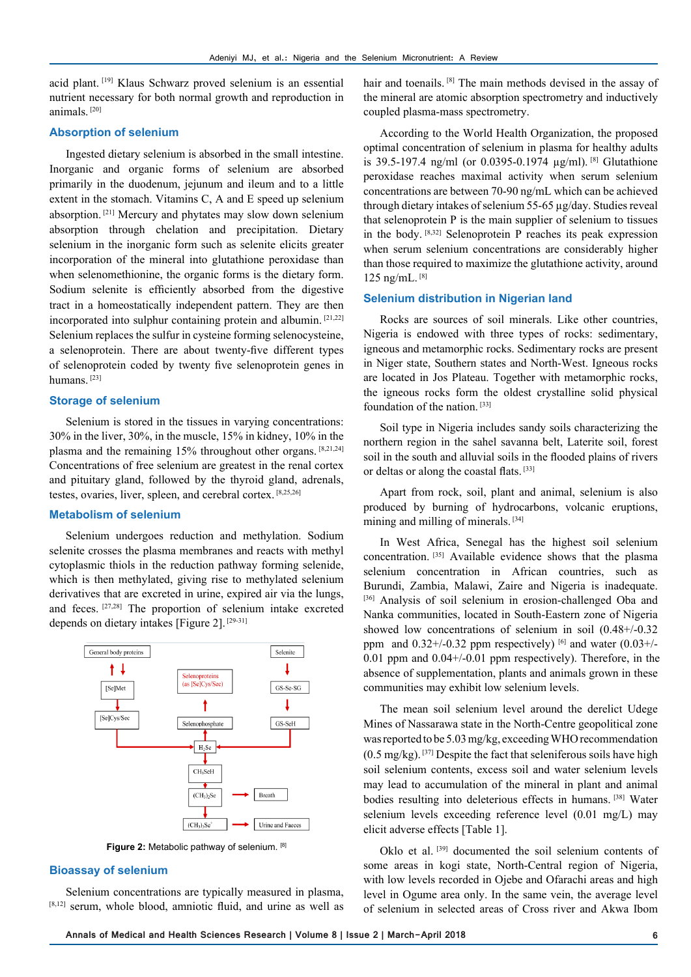acid plant. [19] Klaus Schwarz proved selenium is an essential nutrient necessary for both normal growth and reproduction in animals. [20]

## **Absorption of selenium**

Ingested dietary selenium is absorbed in the small intestine. Inorganic and organic forms of selenium are absorbed primarily in the duodenum, jejunum and ileum and to a little extent in the stomach. Vitamins C, A and E speed up selenium absorption. [21] Mercury and phytates may slow down selenium absorption through chelation and precipitation. Dietary selenium in the inorganic form such as selenite elicits greater incorporation of the mineral into glutathione peroxidase than when selenomethionine, the organic forms is the dietary form. Sodium selenite is efficiently absorbed from the digestive tract in a homeostatically independent pattern. They are then incorporated into sulphur containing protein and albumin. [21,22] Selenium replaces the sulfur in cysteine forming selenocysteine, a selenoprotein. There are about twenty-five different types of selenoprotein coded by twenty five selenoprotein genes in humans.<sup>[23]</sup>

## **Storage of selenium**

Selenium is stored in the tissues in varying concentrations: 30% in the liver, 30%, in the muscle, 15% in kidney, 10% in the plasma and the remaining 15% throughout other organs. [8,21,24] Concentrations of free selenium are greatest in the renal cortex and pituitary gland, followed by the thyroid gland, adrenals, testes, ovaries, liver, spleen, and cerebral cortex. [8,25,26]

## **Metabolism of selenium**

Selenium undergoes reduction and methylation. Sodium selenite crosses the plasma membranes and reacts with methyl cytoplasmic thiols in the reduction pathway forming selenide, which is then methylated, giving rise to methylated selenium derivatives that are excreted in urine, expired air via the lungs, and feces. [27,28] The proportion of selenium intake excreted depends on dietary intakes [Figure 2]. [29-31]



**Figure 2:** Metabolic pathway of selenium. [8]

## **Bioassay of selenium**

Selenium concentrations are typically measured in plasma, [8,12] serum, whole blood, amniotic fluid, and urine as well as hair and toenails. <sup>[8]</sup> The main methods devised in the assay of the mineral are atomic absorption spectrometry and inductively coupled plasma-mass spectrometry.

According to the World Health Organization, the proposed optimal concentration of selenium in plasma for healthy adults is 39.5-197.4 ng/ml (or 0.0395-0.1974 µg/ml). [8] Glutathione peroxidase reaches maximal activity when serum selenium concentrations are between 70-90 ng/mL which can be achieved through dietary intakes of selenium 55-65 µg/day. Studies reveal that selenoprotein P is the main supplier of selenium to tissues in the body. [8,32] Selenoprotein P reaches its peak expression when serum selenium concentrations are considerably higher than those required to maximize the glutathione activity, around  $125$  ng/mL.  $[8]$ 

## **Selenium distribution in Nigerian land**

Rocks are sources of soil minerals. Like other countries, Nigeria is endowed with three types of rocks: sedimentary, igneous and metamorphic rocks. Sedimentary rocks are present in Niger state, Southern states and North-West. Igneous rocks are located in Jos Plateau. Together with metamorphic rocks, the igneous rocks form the oldest crystalline solid physical foundation of the nation. [33]

Soil type in Nigeria includes sandy soils characterizing the northern region in the sahel savanna belt, Laterite soil, forest soil in the south and alluvial soils in the flooded plains of rivers or deltas or along the coastal flats. [33]

Apart from rock, soil, plant and animal, selenium is also produced by burning of hydrocarbons, volcanic eruptions, mining and milling of minerals. [34]

In West Africa, Senegal has the highest soil selenium concentration. [35] Available evidence shows that the plasma selenium concentration in African countries, such as Burundi, Zambia, Malawi, Zaire and Nigeria is inadequate. [36] Analysis of soil selenium in erosion-challenged Oba and Nanka communities, located in South-Eastern zone of Nigeria showed low concentrations of selenium in soil (0.48+/-0.32 ppm and  $0.32+/0.32$  ppm respectively) [6] and water  $(0.03+/0.03)$ 0.01 ppm and 0.04+/-0.01 ppm respectively). Therefore, in the absence of supplementation, plants and animals grown in these communities may exhibit low selenium levels.

The mean soil selenium level around the derelict Udege Mines of Nassarawa state in the North-Centre geopolitical zone was reported to be 5.03 mg/kg, exceeding WHO recommendation  $(0.5 \text{ mg/kg})$ . [37] Despite the fact that seleniferous soils have high soil selenium contents, excess soil and water selenium levels may lead to accumulation of the mineral in plant and animal bodies resulting into deleterious effects in humans. [38] Water selenium levels exceeding reference level (0.01 mg/L) may elicit adverse effects [Table 1].

Oklo et al. [39] documented the soil selenium contents of some areas in kogi state, North-Central region of Nigeria, with low levels recorded in Ojebe and Ofarachi areas and high level in Ogume area only. In the same vein, the average level of selenium in selected areas of Cross river and Akwa Ibom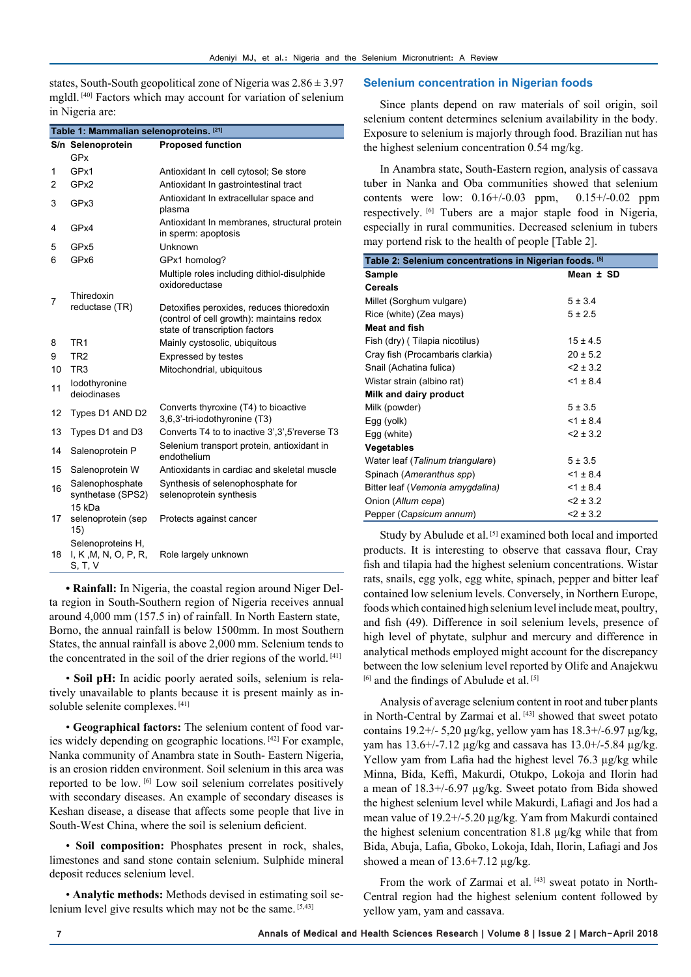states, South-South geopolitical zone of Nigeria was  $2.86 \pm 3.97$ mgldl. [40] Factors which may account for variation of selenium in Nigeria are:

| Table 1: Mammalian selenoproteins. [21] |                                                      |                                                                                                                          |  |  |
|-----------------------------------------|------------------------------------------------------|--------------------------------------------------------------------------------------------------------------------------|--|--|
|                                         | S/n Selenoprotein                                    | <b>Proposed function</b>                                                                                                 |  |  |
|                                         | GPx                                                  |                                                                                                                          |  |  |
| 1                                       | GPx1                                                 | Antioxidant In cell cytosol; Se store                                                                                    |  |  |
| 2                                       | GPx2                                                 | Antioxidant In gastrointestinal tract                                                                                    |  |  |
| 3                                       | GPx3                                                 | Antioxidant In extracellular space and<br>plasma                                                                         |  |  |
| 4                                       | GPx4                                                 | Antioxidant In membranes, structural protein<br>in sperm: apoptosis                                                      |  |  |
| 5                                       | GPx5                                                 | Unknown                                                                                                                  |  |  |
| 6                                       | GPx6                                                 | GPx1 homolog?                                                                                                            |  |  |
|                                         |                                                      | Multiple roles including dithiol-disulphide<br>oxidoreductase                                                            |  |  |
| 7                                       | Thiredoxin                                           |                                                                                                                          |  |  |
|                                         | reductase (TR)                                       | Detoxifies peroxides, reduces thioredoxin<br>(control of cell growth): maintains redox<br>state of transcription factors |  |  |
| 8                                       | TR <sub>1</sub>                                      | Mainly cystosolic, ubiquitous                                                                                            |  |  |
| 9                                       | TR <sub>2</sub>                                      | <b>Expressed by testes</b>                                                                                               |  |  |
| 10                                      | TR <sub>3</sub>                                      | Mitochondrial, ubiquitous                                                                                                |  |  |
| 11                                      | lodothyronine<br>deiodinases                         |                                                                                                                          |  |  |
| 12                                      | Types D1 AND D2                                      | Converts thyroxine (T4) to bioactive<br>3,6,3'-tri-iodothyronine (T3)                                                    |  |  |
| 13                                      | Types D1 and D3                                      | Converts T4 to to inactive 3', 3', 5' reverse T3                                                                         |  |  |
| 14                                      | Salenoprotein P                                      | Selenium transport protein, antioxidant in<br>endothelium                                                                |  |  |
| 15                                      | Salenoprotein W                                      | Antioxidants in cardiac and skeletal muscle                                                                              |  |  |
| 16                                      | Salenophosphate<br>synthetase (SPS2)                 | Synthesis of selenophosphate for<br>selenoprotein synthesis                                                              |  |  |
| 17                                      | 15 kDa<br>selenoprotein (sep<br>15)                  | Protects against cancer                                                                                                  |  |  |
| 18                                      | Selenoproteins H,<br>I, K, M, N, O, P, R,<br>S, T, V | Role largely unknown                                                                                                     |  |  |

**• Rainfall:** In Nigeria, the coastal region around Niger Delta region in South-Southern region of Nigeria receives annual around 4,000 mm (157.5 in) of rainfall. In North Eastern state, Borno, the annual rainfall is below 1500mm. In most Southern States, the annual rainfall is above 2,000 mm. Selenium tends to the concentrated in the soil of the drier regions of the world. [41]

• **Soil pH:** In acidic poorly aerated soils, selenium is relatively unavailable to plants because it is present mainly as insoluble selenite complexes. [41]

• **Geographical factors:** The selenium content of food varies widely depending on geographic locations. [42] For example, Nanka community of Anambra state in South- Eastern Nigeria, is an erosion ridden environment. Soil selenium in this area was reported to be low. [6] Low soil selenium correlates positively with secondary diseases. An example of secondary diseases is Keshan disease, a disease that affects some people that live in South-West China, where the soil is selenium deficient.

• **Soil composition:** Phosphates present in rock, shales, limestones and sand stone contain selenium. Sulphide mineral deposit reduces selenium level.

• **Analytic methods:** Methods devised in estimating soil selenium level give results which may not be the same. [5,43]

#### **Selenium concentration in Nigerian foods**

Since plants depend on raw materials of soil origin, soil selenium content determines selenium availability in the body. Exposure to selenium is majorly through food. Brazilian nut has the highest selenium concentration 0.54 mg/kg.

In Anambra state, South-Eastern region, analysis of cassava tuber in Nanka and Oba communities showed that selenium contents were low:  $0.16 + (-0.03)$  ppm,  $0.15 + (-0.02)$  ppm respectively. [6] Tubers are a major staple food in Nigeria, especially in rural communities. Decreased selenium in tubers may portend risk to the health of people [Table 2].

| Table 2: Selenium concentrations in Nigerian foods. [5] |              |  |  |
|---------------------------------------------------------|--------------|--|--|
| Sample                                                  | Mean ± SD    |  |  |
| <b>Cereals</b>                                          |              |  |  |
| Millet (Sorghum vulgare)                                | $5 \pm 3.4$  |  |  |
| Rice (white) (Zea mays)                                 | $5 \pm 2.5$  |  |  |
| <b>Meat and fish</b>                                    |              |  |  |
| Fish (dry) (Tilapia nicotilus)                          | $15 \pm 4.5$ |  |  |
| Cray fish (Procambaris clarkia)                         | $20 \pm 5.2$ |  |  |
| Snail (Achatina fulica)                                 | $2 + 3.2$    |  |  |
| Wistar strain (albino rat)                              | $31 \pm 8.4$ |  |  |
| Milk and dairy product                                  |              |  |  |
| Milk (powder)                                           | $5 \pm 3.5$  |  |  |
| Egg (yolk)                                              | $<1 \pm 8.4$ |  |  |
| Egg (white)                                             | $2 + 3.2$    |  |  |
| Vegetables                                              |              |  |  |
| Water leaf (Talinum triangulare)                        | 5 ± 3.5      |  |  |
| Spinach (Ameranthus spp)                                | $<1 \pm 8.4$ |  |  |
| Bitter leaf (Vemonia amygdalina)                        | $<1 \pm 8.4$ |  |  |
| Onion (Allum cepa)                                      | $2 + 3.2$    |  |  |
| Pepper (Capsicum annum)                                 | $2 + 3.2$    |  |  |

Study by Abulude et al.<sup>[5]</sup> examined both local and imported products. It is interesting to observe that cassava flour, Cray fish and tilapia had the highest selenium concentrations. Wistar rats, snails, egg yolk, egg white, spinach, pepper and bitter leaf contained low selenium levels. Conversely, in Northern Europe, foods which contained high selenium level include meat, poultry, and fish (49). Difference in soil selenium levels, presence of high level of phytate, sulphur and mercury and difference in analytical methods employed might account for the discrepancy between the low selenium level reported by Olife and Anajekwu [6] and the findings of Abulude et al.<sup>[5]</sup>

Analysis of average selenium content in root and tuber plants in North-Central by Zarmai et al. [43] showed that sweet potato contains  $19.2 + (-5.20 \,\mu g/kg)$ , yellow yam has  $18.3 + (-6.97 \,\mu g/kg)$ , yam has 13.6+/-7.12 µg/kg and cassava has 13.0+/-5.84 µg/kg. Yellow yam from Lafia had the highest level 76.3 µg/kg while Minna, Bida, Keffi, Makurdi, Otukpo, Lokoja and Ilorin had a mean of 18.3+/-6.97 µg/kg. Sweet potato from Bida showed the highest selenium level while Makurdi, Lafiagi and Jos had a mean value of 19.2+/-5.20 µg/kg. Yam from Makurdi contained the highest selenium concentration 81.8 µg/kg while that from Bida, Abuja, Lafia, Gboko, Lokoja, Idah, Ilorin, Lafiagi and Jos showed a mean of  $13.6+7.12 \mu g/kg$ .

From the work of Zarmai et al. [43] sweat potato in North-Central region had the highest selenium content followed by yellow yam, yam and cassava.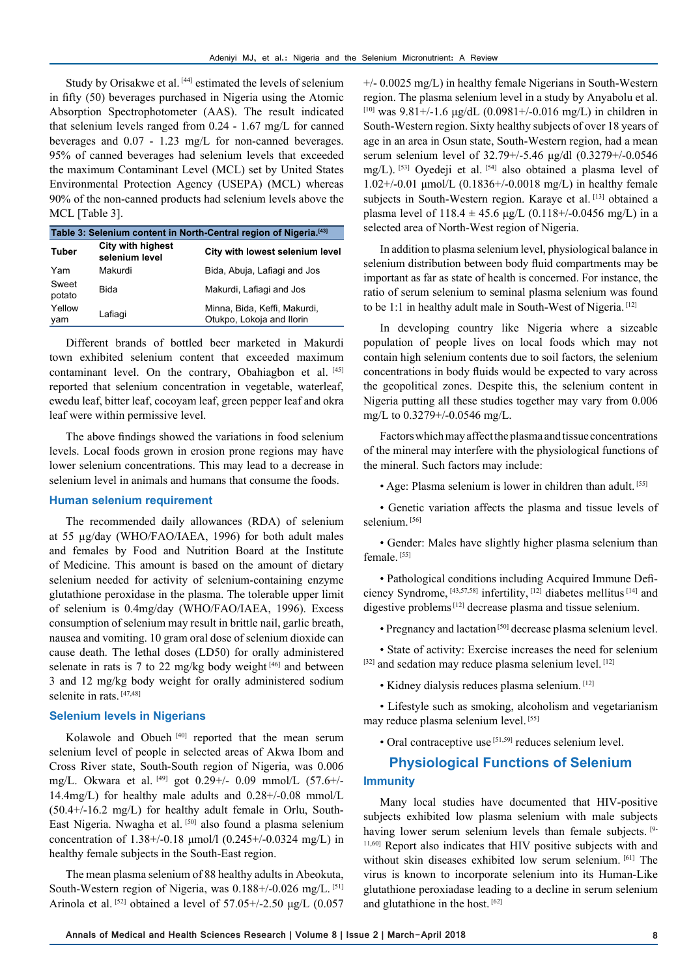Study by Orisakwe et al.<sup>[44]</sup> estimated the levels of selenium in fifty (50) beverages purchased in Nigeria using the Atomic Absorption Spectrophotometer (AAS). The result indicated that selenium levels ranged from 0.24 - 1.67 mg/L for canned beverages and 0.07 - 1.23 mg/L for non-canned beverages. 95% of canned beverages had selenium levels that exceeded the maximum Contaminant Level (MCL) set by United States Environmental Protection Agency (USEPA) (MCL) whereas 90% of the non-canned products had selenium levels above the MCL [Table 3].

| Table 3: Selenium content in North-Central region of Nigeria. <sup>[43]</sup> |                                            |                                                           |  |  |
|-------------------------------------------------------------------------------|--------------------------------------------|-----------------------------------------------------------|--|--|
| <b>Tuber</b>                                                                  | <b>City with highest</b><br>selenium level | City with lowest selenium level                           |  |  |
| Yam                                                                           | Makurdi                                    | Bida, Abuja, Lafiagi and Jos                              |  |  |
| Sweet<br>potato                                                               | <b>Bida</b>                                | Makurdi, Lafiagi and Jos                                  |  |  |
| Yellow<br>vam                                                                 | Lafiagi                                    | Minna, Bida, Keffi, Makurdi,<br>Otukpo, Lokoja and Ilorin |  |  |

Different brands of bottled beer marketed in Makurdi town exhibited selenium content that exceeded maximum contaminant level. On the contrary, Obahiagbon et al. [45] reported that selenium concentration in vegetable, waterleaf, ewedu leaf, bitter leaf, cocoyam leaf, green pepper leaf and okra leaf were within permissive level.

The above findings showed the variations in food selenium levels. Local foods grown in erosion prone regions may have lower selenium concentrations. This may lead to a decrease in selenium level in animals and humans that consume the foods.

#### **Human selenium requirement**

The recommended daily allowances (RDA) of selenium at 55 µg/day (WHO/FAO/IAEA, 1996) for both adult males and females by Food and Nutrition Board at the Institute of Medicine. This amount is based on the amount of dietary selenium needed for activity of selenium-containing enzyme glutathione peroxidase in the plasma. The tolerable upper limit of selenium is 0.4mg/day (WHO/FAO/IAEA, 1996). Excess consumption of selenium may result in brittle nail, garlic breath, nausea and vomiting. 10 gram oral dose of selenium dioxide can cause death. The lethal doses (LD50) for orally administered selenate in rats is 7 to 22 mg/kg body weight  $[46]$  and between 3 and 12 mg/kg body weight for orally administered sodium selenite in rats. [47,48]

## **Selenium levels in Nigerians**

Kolawole and Obueh<sup>[40]</sup> reported that the mean serum selenium level of people in selected areas of Akwa Ibom and Cross River state, South-South region of Nigeria, was 0.006 mg/L. Okwara et al. [49] got 0.29+/- 0.09 mmol/L (57.6+/- 14.4mg/L) for healthy male adults and 0.28+/-0.08 mmol/L (50.4+/-16.2 mg/L) for healthy adult female in Orlu, South-East Nigeria. Nwagha et al. [50] also found a plasma selenium concentration of 1.38+/-0.18 μmol/l (0.245+/-0.0324 mg/L) in healthy female subjects in the South-East region.

The mean plasma selenium of 88 healthy adults in Abeokuta, South-Western region of Nigeria, was 0.188+/-0.026 mg/L. [51] Arinola et al. <sup>[52]</sup> obtained a level of  $57.05+/2.50 \mu g/L$  (0.057

+/- 0.0025 mg/L) in healthy female Nigerians in South-Western region. The plasma selenium level in a study by Anyabolu et al.  $[10]$  was 9.81+/-1.6 μg/dL (0.0981+/-0.016 mg/L) in children in South-Western region. Sixty healthy subjects of over 18 years of age in an area in Osun state, South-Western region, had a mean serum selenium level of 32.79+/-5.46 μg/dl (0.3279+/-0.0546 mg/L). [53] Oyedeji et al. [54] also obtained a plasma level of 1.02+/-0.01 μmol/L (0.1836+/-0.0018 mg/L) in healthy female subjects in South-Western region. Karaye et al. [13] obtained a plasma level of  $118.4 \pm 45.6$  μg/L (0.118+/-0.0456 mg/L) in a selected area of North-West region of Nigeria.

In addition to plasma selenium level, physiological balance in selenium distribution between body fluid compartments may be important as far as state of health is concerned. For instance, the ratio of serum selenium to seminal plasma selenium was found to be 1:1 in healthy adult male in South-West of Nigeria. [12]

In developing country like Nigeria where a sizeable population of people lives on local foods which may not contain high selenium contents due to soil factors, the selenium concentrations in body fluids would be expected to vary across the geopolitical zones. Despite this, the selenium content in Nigeria putting all these studies together may vary from 0.006 mg/L to 0.3279+/-0.0546 mg/L.

Factors which may affect the plasma and tissue concentrations of the mineral may interfere with the physiological functions of the mineral. Such factors may include:

• Age: Plasma selenium is lower in children than adult. [55]

• Genetic variation affects the plasma and tissue levels of selenium<sup>[56]</sup>

• Gender: Males have slightly higher plasma selenium than female.<sup>[55]</sup>

• Pathological conditions including Acquired Immune Deficiency Syndrome, [43,57,58] infertility, [12] diabetes mellitus [14] and digestive problems [12] decrease plasma and tissue selenium.

• Pregnancy and lactation [50] decrease plasma selenium level.

• State of activity: Exercise increases the need for selenium [32] and sedation may reduce plasma selenium level. [12]

• Kidney dialysis reduces plasma selenium. [12]

• Lifestyle such as smoking, alcoholism and vegetarianism may reduce plasma selenium level. [55]

• Oral contraceptive use [51,59] reduces selenium level.

# **Physiological Functions of Selenium Immunity**

Many local studies have documented that HIV-positive subjects exhibited low plasma selenium with male subjects having lower serum selenium levels than female subjects. [9-11,60] Report also indicates that HIV positive subjects with and without skin diseases exhibited low serum selenium. [61] The virus is known to incorporate selenium into its Human-Like glutathione peroxiadase leading to a decline in serum selenium and glutathione in the host. [62]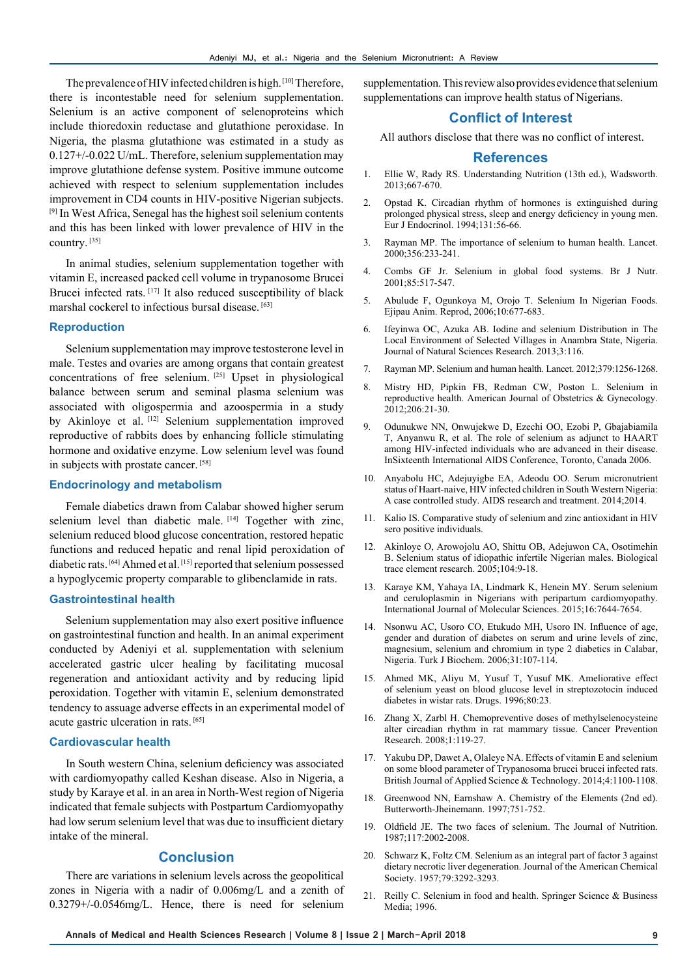The prevalence of HIV infected children is high. [10] Therefore, there is incontestable need for selenium supplementation. Selenium is an active component of selenoproteins which include thioredoxin reductase and glutathione peroxidase. In Nigeria, the plasma glutathione was estimated in a study as 0.127+/-0.022 U/mL. Therefore, selenium supplementation may improve glutathione defense system. Positive immune outcome achieved with respect to selenium supplementation includes improvement in CD4 counts in HIV-positive Nigerian subjects. [9] In West Africa, Senegal has the highest soil selenium contents and this has been linked with lower prevalence of HIV in the country. [35]

In animal studies, selenium supplementation together with vitamin E, increased packed cell volume in trypanosome Brucei Brucei infected rats. [17] It also reduced susceptibility of black marshal cockerel to infectious bursal disease. [63]

#### **Reproduction**

Selenium supplementation may improve testosterone level in male. Testes and ovaries are among organs that contain greatest concentrations of free selenium. [25] Upset in physiological balance between serum and seminal plasma selenium was associated with oligospermia and azoospermia in a study by Akinloye et al. [12] Selenium supplementation improved reproductive of rabbits does by enhancing follicle stimulating hormone and oxidative enzyme. Low selenium level was found in subjects with prostate cancer. [58]

## **Endocrinology and metabolism**

Female diabetics drawn from Calabar showed higher serum selenium level than diabetic male.  $[14]$  Together with zinc, selenium reduced blood glucose concentration, restored hepatic functions and reduced hepatic and renal lipid peroxidation of diabetic rats. [64] Ahmed et al. [15] reported that selenium possessed a hypoglycemic property comparable to glibenclamide in rats.

#### **Gastrointestinal health**

Selenium supplementation may also exert positive influence on gastrointestinal function and health. In an animal experiment conducted by Adeniyi et al. supplementation with selenium accelerated gastric ulcer healing by facilitating mucosal regeneration and antioxidant activity and by reducing lipid peroxidation. Together with vitamin E, selenium demonstrated tendency to assuage adverse effects in an experimental model of acute gastric ulceration in rats. [65]

#### **Cardiovascular health**

In South western China, selenium deficiency was associated with cardiomyopathy called Keshan disease. Also in Nigeria, a study by Karaye et al. in an area in North-West region of Nigeria indicated that female subjects with Postpartum Cardiomyopathy had low serum selenium level that was due to insufficient dietary intake of the mineral.

## **Conclusion**

There are variations in selenium levels across the geopolitical zones in Nigeria with a nadir of 0.006mg/L and a zenith of 0.3279+/-0.0546mg/L. Hence, there is need for selenium

supplementation. This review also provides evidence that selenium supplementations can improve health status of Nigerians.

#### **Conflict of Interest**

All authors disclose that there was no conflict of interest.

#### **References**

- 1. Ellie W, Rady RS. Understanding Nutrition (13th ed.), Wadsworth. 2013;667-670.
- 2. Opstad K. Circadian rhythm of hormones is extinguished during prolonged physical stress, sleep and energy deficiency in young men. Eur J Endocrinol. 1994;131:56-66.
- 3. Rayman MP. The importance of selenium to human health. Lancet. 2000;356:233-241.
- 4. Combs GF Jr. Selenium in global food systems. Br J Nutr. 2001;85:517-547.
- 5. Abulude F, Ogunkoya M, Orojo T. Selenium In Nigerian Foods. Ejipau Anim. Reprod, 2006;10:677-683.
- 6. Ifeyinwa OC, Azuka AB. Iodine and selenium Distribution in The Local Environment of Selected Villages in Anambra State, Nigeria. Journal of Natural Sciences Research. 2013;3:116.
- 7. Rayman MP. Selenium and human health. Lancet. 2012;379:1256-1268.
- 8. Mistry HD, Pipkin FB, Redman CW, Poston L. Selenium in reproductive health. American Journal of Obstetrics & Gynecology. 2012;206:21-30.
- 9. Odunukwe NN, Onwujekwe D, Ezechi OO, Ezobi P, Gbajabiamila T, Anyanwu R, et al. The role of selenium as adjunct to HAART among HIV-infected individuals who are advanced in their disease. InSixteenth International AlDS Conference, Toronto, Canada 2006.
- 10. Anyabolu HC, Adejuyigbe EA, Adeodu OO. Serum micronutrient status of Haart-naive, HIV infected children in South Western Nigeria: A case controlled study. AIDS research and treatment. 2014;2014.
- 11. Kalio IS. Comparative study of selenium and zinc antioxidant in HIV sero positive individuals.
- 12. Akinloye O, Arowojolu AO, Shittu OB, Adejuwon CA, Osotimehin B. Selenium status of idiopathic infertile Nigerian males. Biological trace element research. 2005;104:9-18.
- 13. Karaye KM, Yahaya IA, Lindmark K, Henein MY. Serum selenium and ceruloplasmin in Nigerians with peripartum cardiomyopathy. International Journal of Molecular Sciences. 2015;16:7644-7654.
- 14. Nsonwu AC, Usoro CO, Etukudo MH, Usoro IN. Influence of age, gender and duration of diabetes on serum and urine levels of zinc, magnesium, selenium and chromium in type 2 diabetics in Calabar, Nigeria. Turk J Biochem. 2006;31:107-114.
- 15. Ahmed MK, Aliyu M, Yusuf T, Yusuf MK. Ameliorative effect of selenium yeast on blood glucose level in streptozotocin induced diabetes in wistar rats. Drugs. 1996;80:23.
- 16. Zhang X, Zarbl H. Chemopreventive doses of methylselenocysteine alter circadian rhythm in rat mammary tissue. Cancer Prevention Research. 2008;1:119-27.
- 17. Yakubu DP, Dawet A, Olaleye NA. Effects of vitamin E and selenium on some blood parameter of Trypanosoma brucei brucei infected rats. British Journal of Applied Science & Technology. 2014;4:1100-1108.
- Greenwood NN, Earnshaw A. Chemistry of the Elements (2nd ed). Butterworth-Jheinemann. 1997;751-752.
- 19. Oldfield JE. The two faces of selenium. The Journal of Nutrition. 1987;117:2002-2008.
- 20. Schwarz K, Foltz CM. Selenium as an integral part of factor 3 against dietary necrotic liver degeneration. Journal of the American Chemical Society. 1957;79:3292-3293.
- 21. Reilly C. Selenium in food and health. Springer Science & Business Media; 1996.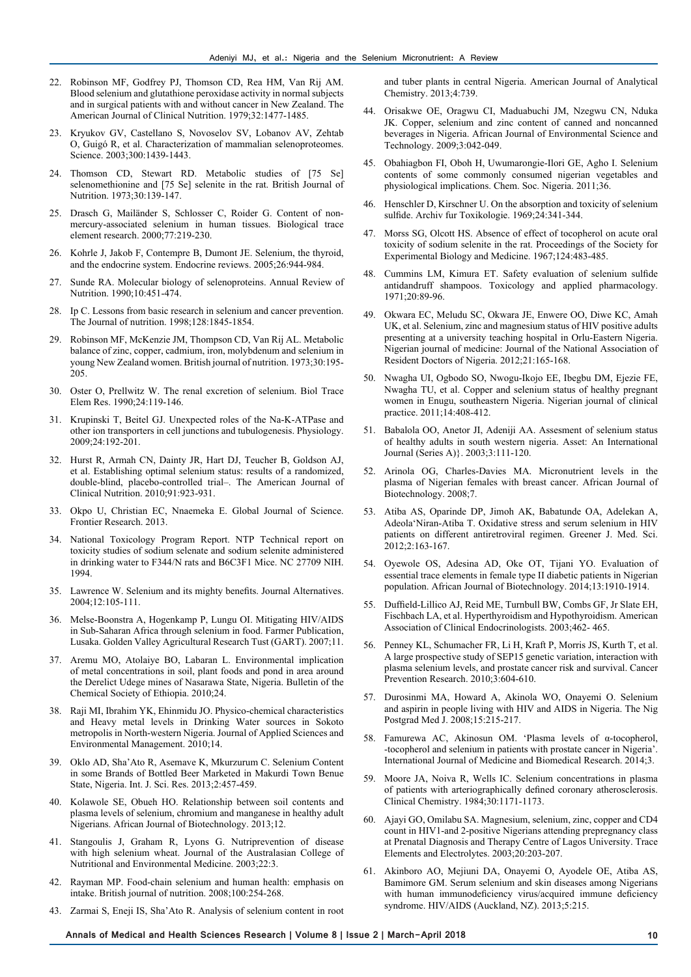- 22. Robinson MF, Godfrey PJ, Thomson CD, Rea HM, Van Rij AM. Blood selenium and glutathione peroxidase activity in normal subjects and in surgical patients with and without cancer in New Zealand. The American Journal of Clinical Nutrition. 1979;32:1477-1485.
- 23. Kryukov GV, Castellano S, Novoselov SV, Lobanov AV, Zehtab O, Guigó R, et al. Characterization of mammalian selenoproteomes. Science. 2003;300:1439-1443.
- 24. Thomson CD, Stewart RD. Metabolic studies of [75 Se] selenomethionine and [75 Se] selenite in the rat. British Journal of Nutrition. 1973;30:139-147.
- 25. Drasch G, Mailänder S, Schlosser C, Roider G. Content of nonmercury-associated selenium in human tissues. Biological trace element research. 2000;77:219-230.
- 26. Kohrle J, Jakob F, Contempre B, Dumont JE. Selenium, the thyroid, and the endocrine system. Endocrine reviews. 2005;26:944-984.
- 27. Sunde RA. Molecular biology of selenoproteins. Annual Review of Nutrition. 1990;10:451-474.
- 28. Ip C. Lessons from basic research in selenium and cancer prevention. The Journal of nutrition. 1998;128:1845-1854.
- 29. Robinson MF, McKenzie JM, Thompson CD, Van Rij AL. Metabolic balance of zinc, copper, cadmium, iron, molybdenum and selenium in young New Zealand women. British journal of nutrition. 1973;30:195- 205.
- 30. Oster O, Prellwitz W. The renal excretion of selenium. Biol Trace Elem Res. 1990;24:119-146.
- 31. Krupinski T, Beitel GJ. Unexpected roles of the Na-K-ATPase and other ion transporters in cell junctions and tubulogenesis. Physiology. 2009;24:192-201.
- 32. Hurst R, Armah CN, Dainty JR, Hart DJ, Teucher B, Goldson AJ, et al. Establishing optimal selenium status: results of a randomized, double-blind, placebo-controlled trial–. The American Journal of Clinical Nutrition. 2010;91:923-931.
- 33. Okpo U, Christian EC, Nnaemeka E. Global Journal of Science. Frontier Research. 2013.
- 34. National Toxicology Program Report. NTP Technical report on toxicity studies of sodium selenate and sodium selenite administered in drinking water to F344/N rats and B6C3F1 Mice. NC 27709 NIH. 1994.
- 35. Lawrence W. Selenium and its mighty benefits. Journal Alternatives. 2004;12:105-111.
- 36. Melse-Boonstra A, Hogenkamp P, Lungu OI. Mitigating HIV/AIDS in Sub-Saharan Africa through selenium in food. Farmer Publication, Lusaka. Golden Valley Agricultural Research Tust (GART). 2007;11.
- 37. Aremu MO, Atolaiye BO, Labaran L. Environmental implication of metal concentrations in soil, plant foods and pond in area around the Derelict Udege mines of Nasarawa State, Nigeria. Bulletin of the Chemical Society of Ethiopia. 2010;24.
- 38. Raji MI, Ibrahim YK, Ehinmidu JO. Physico-chemical characteristics and Heavy metal levels in Drinking Water sources in Sokoto metropolis in North-western Nigeria. Journal of Applied Sciences and Environmental Management. 2010;14.
- 39. Oklo AD, Sha'Ato R, Asemave K, Mkurzurum C. Selenium Content in some Brands of Bottled Beer Marketed in Makurdi Town Benue State, Nigeria. Int. J. Sci. Res. 2013;2:457-459.
- 40. Kolawole SE, Obueh HO. Relationship between soil contents and plasma levels of selenium, chromium and manganese in healthy adult Nigerians. African Journal of Biotechnology. 2013;12.
- 41. Stangoulis J, Graham R, Lyons G. Nutriprevention of disease with high selenium wheat. Journal of the Australasian College of Nutritional and Environmental Medicine. 2003;22:3.
- 42. Rayman MP. Food-chain selenium and human health: emphasis on intake. British journal of nutrition. 2008;100:254-268.
- Zarmai S, Eneji IS, Sha'Ato R. Analysis of selenium content in root

and tuber plants in central Nigeria. American Journal of Analytical Chemistry. 2013;4:739.

- 44. Orisakwe OE, Oragwu CI, Maduabuchi JM, Nzegwu CN, Nduka JK. Copper, selenium and zinc content of canned and noncanned beverages in Nigeria. African Journal of Environmental Science and Technology. 2009;3:042-049.
- 45. Obahiagbon FI, Oboh H, Uwumarongie-Ilori GE, Agho I. Selenium contents of some commonly consumed nigerian vegetables and physiological implications. Chem. Soc. Nigeria. 2011;36.
- 46. Henschler D, Kirschner U. On the absorption and toxicity of selenium sulfide. Archiv fur Toxikologie. 1969;24:341-344.
- 47. Morss SG, Olcott HS. Absence of effect of tocopherol on acute oral toxicity of sodium selenite in the rat. Proceedings of the Society for Experimental Biology and Medicine. 1967;124:483-485.
- 48. Cummins LM, Kimura ET. Safety evaluation of selenium sulfide antidandruff shampoos. Toxicology and applied pharmacology. 1971;20:89-96.
- 49. Okwara EC, Meludu SC, Okwara JE, Enwere OO, Diwe KC, Amah UK, et al. Selenium, zinc and magnesium status of HIV positive adults presenting at a university teaching hospital in Orlu-Eastern Nigeria. Nigerian journal of medicine: Journal of the National Association of Resident Doctors of Nigeria. 2012;21:165-168.
- 50. Nwagha UI, Ogbodo SO, Nwogu-Ikojo EE, Ibegbu DM, Ejezie FE, Nwagha TU, et al. Copper and selenium status of healthy pregnant women in Enugu, southeastern Nigeria. Nigerian journal of clinical practice. 2011;14:408-412.
- 51. Babalola OO, Anetor JI, Adeniji AA. Assesment of selenium status of healthy adults in south western nigeria. Asset: An International Journal (Series A)}. 2003;3:111-120.
- 52. Arinola OG, Charles-Davies MA. Micronutrient levels in the plasma of Nigerian females with breast cancer. African Journal of Biotechnology. 2008;7.
- 53. Atiba AS, Oparinde DP, Jimoh AK, Babatunde OA, Adelekan A, Adeola'Niran-Atiba T. Oxidative stress and serum selenium in HIV patients on different antiretroviral regimen. Greener J. Med. Sci. 2012;2:163-167.
- 54. Oyewole OS, Adesina AD, Oke OT, Tijani YO. Evaluation of essential trace elements in female type II diabetic patients in Nigerian population. African Journal of Biotechnology. 2014;13:1910-1914.
- 55. Duffield-Lillico AJ, Reid ME, Turnbull BW, Combs GF, Jr Slate EH, Fischbach LA, et al. Hyperthyroidism and Hypothyroidism. American Association of Clinical Endocrinologists. 2003;462- 465.
- 56. Penney KL, Schumacher FR, Li H, Kraft P, Morris JS, Kurth T, et al. A large prospective study of SEP15 genetic variation, interaction with plasma selenium levels, and prostate cancer risk and survival. Cancer Prevention Research. 2010;3:604-610.
- 57. Durosinmi MA, Howard A, Akinola WO, Onayemi O. Selenium and aspirin in people living with HIV and AIDS in Nigeria. The Nig Postgrad Med J. 2008;15:215-217.
- 58. Famurewa AC, Akinosun OM. 'Plasma levels of α-tocopherol, -tocopherol and selenium in patients with prostate cancer in Nigeria'. International Journal of Medicine and Biomedical Research. 2014;3.
- 59. Moore JA, Noiva R, Wells IC. Selenium concentrations in plasma of patients with arteriographically defined coronary atherosclerosis. Clinical Chemistry. 1984;30:1171-1173.
- 60. Ajayi GO, Omilabu SA. Magnesium, selenium, zinc, copper and CD4 count in HIV1-and 2-positive Nigerians attending prepregnancy class at Prenatal Diagnosis and Therapy Centre of Lagos University. Trace Elements and Electrolytes. 2003;20:203-207.
- 61. Akinboro AO, Mejiuni DA, Onayemi O, Ayodele OE, Atiba AS, Bamimore GM. Serum selenium and skin diseases among Nigerians with human immunodeficiency virus/acquired immune deficiency syndrome. HIV/AIDS (Auckland, NZ). 2013;5:215.